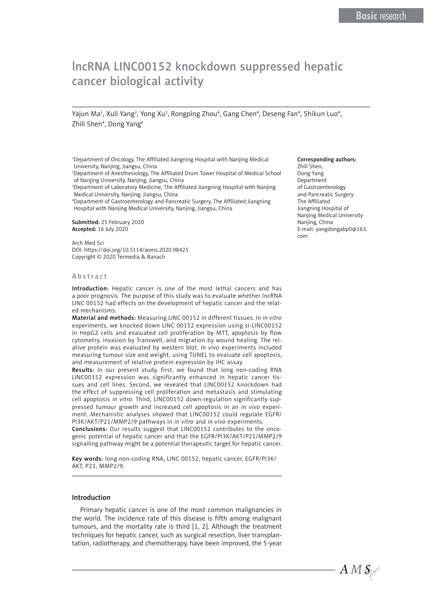# lncRNA LINC00152 knockdown suppressed hepatic cancer biological activity

Yajun Ma<sup>1</sup>, Xuli Yang<sup>2</sup>, Yong Xu<sup>3</sup>, Rongping Zhou<sup>4</sup>, Gang Chen<sup>4</sup>, Deseng Fan<sup>4</sup>, Shikun Luo<sup>4</sup>, Zhili Shen<sup>4</sup>, Dong Yang<sup>4</sup>

<sup>1</sup>Department of Oncology, The Affiliated Jiangning Hospital with Nanjing Medical University, Nanjing, Jiangsu, China

2 Department of Anesthesiology, The Affiliated Drum Tower Hospital of Medical School of Nanjing University, Nanjing, Jiangsu, China

3 Department of Laboratory Medicine, The Affiliated Jiangning Hospital with Nanjing Medical University, Nanjing, Jiangsu, China

4 Department of Gastroenterology and Pancreatic Surgery, The Affiliated Jiangning Hospital with Nanjing Medical University, Nanjing, Jiangsu, China

Submitted: 25 February 2020 Accepted: 16 July 2020

Arch Med Sci DOI: https://doi.org/10.5114/aoms.2020.98425 Copyright © 2020 Termedia & Banach

#### Abstract

Introduction: Hepatic cancer is one of the most lethal cancers and has a poor prognosis. The purpose of this study was to evaluate whether lncRNA LINC 00152 had effects on the development of hepatic cancer and the related mechanisms.

Material and methods: Measuring LINC 00152 in different tissues. In *in vitro* experiments, we knocked down LINC 00152 expression using si-LINC00152 in HepG2 cells and evaluated cell proliferation by MTT, apoptosis by flow cytometry, invasion by Transwell, and migration by wound healing. The relative protein was evaluated by western blot. *In vivo* experiments included measuring tumour size and weight, using TUNEL to evaluate cell apoptosis, and measurement of relative protein expression by IHC assay.

Results: In our present study, first, we found that long non-coding RNA LINC00152 expression was significantly enhanced in hepatic cancer tissues and cell lines. Second, we revealed that LINC00152 knockdown had the effect of suppressing cell proliferation and metastasis and stimulating cell apoptosis *in vitro*. Third, LINC00152 down-regulation significantly suppressed tumour growth and increased cell apoptosis in an *in vivo* experiment. Mechanistic analyses showed that LINC00152 could regulate EGFR/ PI3K/AKT/P21/MMP2/9 pathways in *in vitro* and *in vivo* experiments.

Conclusions: Our results suggest that LINC00152 contributes to the oncogenic potential of hepatic cancer and that the EGFR/PI3K/AKT/P21/MMP2/9 signalling pathway might be a potential therapeutic target for hepatic cancer.

Key words: long non-coding RNA, LINC 00152, hepatic cancer, EGFR/PI3K/ AKT, P21, MMP2/9.

#### Introduction

Primary hepatic cancer is one of the most common malignancies in the world. The incidence rate of this disease is fifth among malignant tumours, and the mortality rate is third [1, 2]. Although the treatment techniques for hepatic cancer, such as surgical resection, liver transplantation, radiotherapy, and chemotherapy, have been improved, the 5-year

#### Corresponding authors:

Zhili Shen, Dong Yang Department of Gastroenterology and Pancreatic Surgery The Affiliated Jiangning Hospital of Nanjing Medical University Nanjing, China E-mail: yangdongabp0@163. com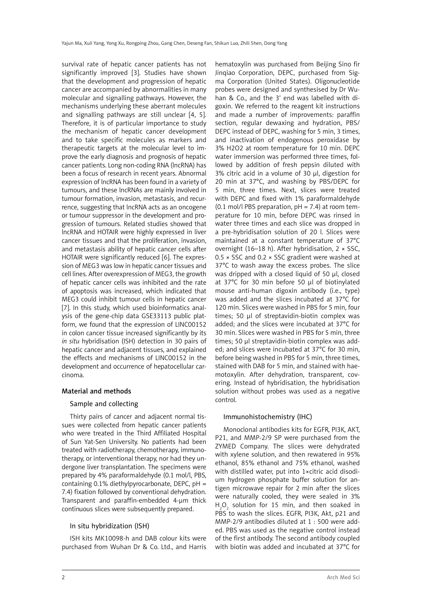survival rate of hepatic cancer patients has not significantly improved [3]. Studies have shown that the development and progression of hepatic cancer are accompanied by abnormalities in many molecular and signalling pathways. However, the mechanisms underlying these aberrant molecules and signalling pathways are still unclear [4, 5]. Therefore, it is of particular importance to study the mechanism of hepatic cancer development and to take specific molecules as markers and therapeutic targets at the molecular level to improve the early diagnosis and prognosis of hepatic cancer patients. Long non-coding RNA (lncRNA) has been a focus of research in recent years. Abnormal expression of lncRNA has been found in a variety of tumours, and these lncRNAs are mainly involved in tumour formation, invasion, metastasis, and recurrence, suggesting that lncRNA acts as an oncogene or tumour suppressor in the development and progression of tumours. Related studies showed that lncRNA and HOTAIR were highly expressed in liver cancer tissues and that the proliferation, invasion, and metastasis ability of hepatic cancer cells after HOTAIR were significantly reduced [6]. The expression of MEG3 was low in hepatic cancer tissues and cell lines. After overexpression of MEG3, the growth of hepatic cancer cells was inhibited and the rate of apoptosis was increased, which indicated that MEG3 could inhibit tumour cells in hepatic cancer [7]. In this study, which used bioinformatics analysis of the gene-chip data GSE33113 public platform, we found that the expression of LINC00152 in colon cancer tissue increased significantly by its *in situ* hybridisation (ISH) detection in 30 pairs of hepatic cancer and adjacent tissues, and explained the effects and mechanisms of LINC00152 in the development and occurrence of hepatocellular carcinoma.

### Material and methods

### Sample and collecting

Thirty pairs of cancer and adjacent normal tissues were collected from hepatic cancer patients who were treated in the Third Affiliated Hospital of Sun Yat-Sen University. No patients had been treated with radiotherapy, chemotherapy, immunotherapy, or interventional therapy, nor had they undergone liver transplantation. The specimens were prepared by 4% paraformaldehyde (0.1 mol/l, PBS, containing 0.1% diethylpyrocarbonate, DEPC,  $pH =$ 7.4) fixation followed by conventional dehydration. Transparent and paraffin-embedded 4-µm thick continuous slices were subsequently prepared.

# In situ hybridization (ISH)

ISH kits MK10098-h and DAB colour kits were purchased from Wuhan Dr & Co. Ltd., and Harris hematoxylin was purchased from Beijing Sino fir Jinqiao Corporation, DEPC, purchased from Sigma Corporation (United States). Oligonucleotide probes were designed and synthesised by Dr Wuhan & Co., and the 3' end was labelled with digoxin. We referred to the reagent kit instructions and made a number of improvements: paraffin section, regular dewaxing and hydration, PBS/ DEPC instead of DEPC, washing for 5 min, 3 times, and inactivation of endogenous peroxidase by 3% H2O2 at room temperature for 10 min. DEPC water immersion was performed three times, followed by addition of fresh pepsin diluted with 3% citric acid in a volume of 30 µl, digestion for 20 min at 37°C, and washing by PBS/DEPC for 5 min, three times. Next, slices were treated with DEPC and fixed with 1% paraformaldehyde (0.1 mol/l PBS preparation,  $pH = 7.4$ ) at room temperature for 10 min, before DEPC was rinsed in water three times and each slice was dropped in a pre-hybridisation solution of 20 l. Slices were maintained at a constant temperature of 37°C overnight (16–18 h). After hybridisation, 2 × SSC,  $0.5 \times$  SSC and 0.2  $\times$  SSC gradient were washed at 37°C to wash away the excess probes. The slice was dripped with a closed liquid of 50 µl, closed at 37°C for 30 min before 50 µl of biotinylated mouse anti-human digoxin antibody (i.e., type) was added and the slices incubated at 37°C for 120 min. Slices were washed in PBS for 5 min, four times; 50 µl of streptavidin-biotin complex was added; and the slices were incubated at 37°C for 30 min. Slices were washed in PBS for 5 min, three times; 50 µl streptavidin-biotin complex was added; and slices were incubated at 37°C for 30 min, before being washed in PBS for 5 min, three times, stained with DAB for 5 min, and stained with haemotoxylin. After dehydration, transparent, covering. Instead of hybridisation, the hybridisation solution without probes was used as a negative control.

### Immunohistochemistry (IHC)

Monoclonal antibodies kits for EGFR, PI3K, AKT, P21, and MMP-2/9 SP were purchased from the ZYMED Company. The slices were dehydrated with xylene solution, and then rewatered in 95% ethanol, 85% ethanol and 75% ethanol, washed with distilled water, put into 1×citric acid disodium hydrogen phosphate buffer solution for antigen microwave repair for 2 min after the slices were naturally cooled, they were sealed in 3%  $H_2O_2$  solution for 15 min, and then soaked in PBS to wash the slices. EGFR, PI3K, Akt, p21 and MMP-2/9 antibodies diluted at 1 : 500 were added. PBS was used as the negative control instead of the first antibody. The second antibody coupled with biotin was added and incubated at 37°C for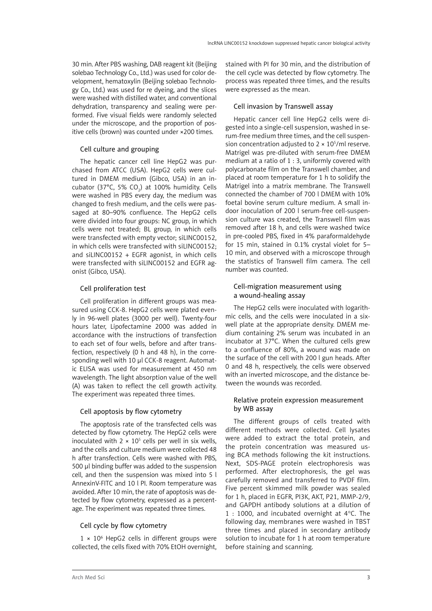30 min. After PBS washing, DAB reagent kit (Beijing solebao Technology Co., Ltd.) was used for color development, hematoxylin (Beijing solebao Technology Co., Ltd.) was used for re dyeing, and the slices were washed with distilled water, and conventional dehydration, transparency and sealing were performed. Five visual fields were randomly selected under the microscope, and the proportion of positive cells (brown) was counted under ×200 times.

# Cell culture and grouping

The hepatic cancer cell line HepG2 was purchased from ATCC (USA). HepG2 cells were cultured in DMEM medium (Gibco, USA) in an incubator (37°C, 5% CO<sub>2</sub>) at 100% humidity. Cells were washed in PBS every day, the medium was changed to fresh medium, and the cells were passaged at 80–90% confluence. The HepG2 cells were divided into four groups: NC group, in which cells were not treated; BL group, in which cells were transfected with empty vector; siLINC00152, in which cells were transfected with siLINC00152; and siLINC00152 + EGFR agonist, in which cells were transfected with siLINC00152 and EGFR agonist (Gibco, USA).

# Cell proliferation test

Cell proliferation in different groups was measured using CCK-8. HepG2 cells were plated evenly in 96-well plates (3000 per well). Twenty-four hours later, Lipofectamine 2000 was added in accordance with the instructions of transfection to each set of four wells, before and after transfection, respectively (0 h and 48 h), in the corresponding well with 10 µl CCK-8 reagent. Automatic ELISA was used for measurement at 450 nm wavelength. The light absorption value of the well (A) was taken to reflect the cell growth activity. The experiment was repeated three times.

# Cell apoptosis by flow cytometry

The apoptosis rate of the transfected cells was detected by flow cytometry. The HepG2 cells were inoculated with  $2 \times 10^5$  cells per well in six wells, and the cells and culture medium were collected 48 h after transfection. Cells were washed with PBS, 500 µl binding buffer was added to the suspension cell, and then the suspension was mixed into 5 l AnnexinV-FITC and 10 l PI. Room temperature was avoided. After 10 min, the rate of apoptosis was detected by flow cytometry, expressed as a percentage. The experiment was repeated three times.

# Cell cycle by flow cytometry

1 × 106 HepG2 cells in different groups were collected, the cells fixed with 70% EtOH overnight,

stained with PI for 30 min, and the distribution of the cell cycle was detected by flow cytometry. The process was repeated three times, and the results were expressed as the mean.

# Cell invasion by Transwell assay

Hepatic cancer cell line HepG2 cells were digested into a single-cell suspension, washed in serum-free medium three times, and the cell suspension concentration adjusted to  $2 \times 10^5$ /ml reserve. Matrigel was pre-diluted with serum-free DMEM medium at a ratio of 1 : 3, uniformly covered with polycarbonate film on the Transwell chamber, and placed at room temperature for 1 h to solidify the Matrigel into a matrix membrane. The Transwell connected the chamber of 700 l DMEM with 10% foetal bovine serum culture medium. A small indoor inoculation of 200 l serum-free cell-suspension culture was created, the Transwell film was removed after 18 h, and cells were washed twice in pre-cooled PBS, fixed in 4% paraformaldehyde for 15 min, stained in 0.1% crystal violet for 5– 10 min, and observed with a microscope through the statistics of Transwell film camera. The cell number was counted.

# Cell-migration measurement using a wound-healing assay

The HepG2 cells were inoculated with logarithmic cells, and the cells were inoculated in a sixwell plate at the appropriate density. DMEM medium containing 2% serum was incubated in an incubator at 37°C. When the cultured cells grew to a confluence of 80%, a wound was made on the surface of the cell with 200 l gun heads. After 0 and 48 h, respectively, the cells were observed with an inverted microscope, and the distance between the wounds was recorded.

# Relative protein expression measurement by WB assay

The different groups of cells treated with different methods were collected. Cell lysates were added to extract the total protein, and the protein concentration was measured using BCA methods following the kit instructions. Next, SDS-PAGE protein electrophoresis was performed. After electrophoresis, the gel was carefully removed and transferred to PVDF film. Five percent skimmed milk powder was sealed for 1 h, placed in EGFR, PI3K, AKT, P21, MMP-2/9, and GAPDH antibody solutions at a dilution of 1 : 1000, and incubated overnight at 4°C. The following day, membranes were washed in TBST three times and placed in secondary antibody solution to incubate for 1 h at room temperature before staining and scanning.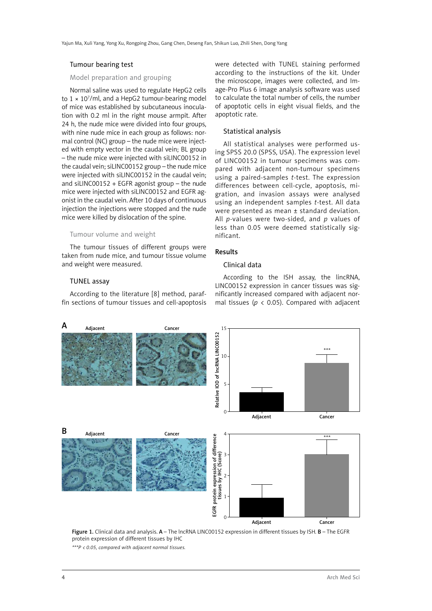#### Tumour bearing test

### Model preparation and grouping

Normal saline was used to regulate HepG2 cells to 1 × 107 /ml, and a HepG2 tumour-bearing model of mice was established by subcutaneous inoculation with 0.2 ml in the right mouse armpit. After 24 h, the nude mice were divided into four groups, with nine nude mice in each group as follows: normal control (NC) group – the nude mice were injected with empty vector in the caudal vein; BL group – the nude mice were injected with siLINC00152 in the caudal vein; siLINC00152 group – the nude mice were injected with siLINC00152 in the caudal vein; and siLINC00152 + EGFR agonist group – the nude mice were injected with siLINC00152 and EGFR agonist in the caudal vein. After 10 days of continuous injection the injections were stopped and the nude mice were killed by dislocation of the spine.

#### Tumour volume and weight

The tumour tissues of different groups were taken from nude mice, and tumour tissue volume and weight were measured.

#### TUNEL assay

According to the literature [8] method, paraffin sections of tumour tissues and cell-apoptosis were detected with TUNEL staining performed according to the instructions of the kit. Under the microscope, images were collected, and Image-Pro Plus 6 image analysis software was used to calculate the total number of cells, the number of apoptotic cells in eight visual fields, and the apoptotic rate.

#### Statistical analysis

All statistical analyses were performed using SPSS 20.0 (SPSS, USA). The expression level of LINC00152 in tumour specimens was compared with adjacent non-tumour specimens using a paired-samples *t*-test. The expression differences between cell-cycle, apoptosis, migration, and invasion assays were analysed using an independent samples *t*-test. All data were presented as mean ± standard deviation. All *p*-values were two-sided, and *p* values of less than 0.05 were deemed statistically significant.

# Results

### Clinical data

According to the ISH assay, the lincRNA, LINC00152 expression in cancer tissues was significantly increased compared with adjacent normal tissues ( $p < 0.05$ ). Compared with adjacent



Figure 1. Clinical data and analysis. A – The lncRNA LINC00152 expression in different tissues by ISH. B – The EGFR protein expression of different tissues by IHC

*\*\*\*P < 0.05, compared with adjacent normal tissues.*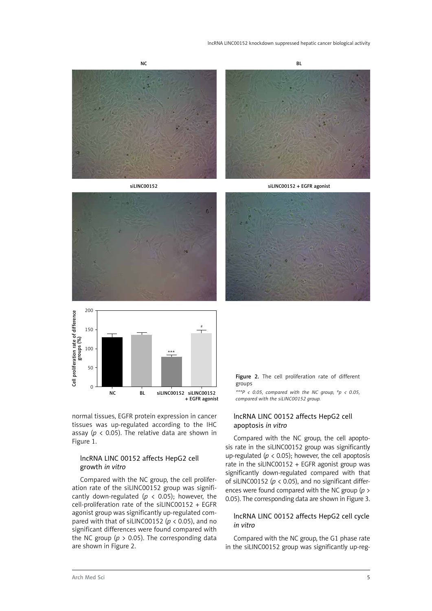







normal tissues, EGFR protein expression in cancer tissues was up-regulated according to the IHC assay ( $p \lt 0.05$ ). The relative data are shown in Figure 1.

### lncRNA LINC 00152 affects HepG2 cell growth *in vitro*

Compared with the NC group, the cell proliferation rate of the siLINC00152 group was significantly down-regulated ( $p \lt 0.05$ ); however, the cell-proliferation rate of the siLINC00152 + EGFR agonist group was significantly up-regulated compared with that of siLINC00152 (*p* < 0.05), and no significant differences were found compared with the NC group ( $p > 0.05$ ). The corresponding data are shown in Figure 2.



*\*\*\*P < 0.05, compared with the NC group, #p < 0.05, compared with the siLINC00152 group.*

# lncRNA LINC 00152 affects HepG2 cell apoptosis *in vitro*

Compared with the NC group, the cell apoptosis rate in the siLINC00152 group was significantly up-regulated ( $p < 0.05$ ); however, the cell apoptosis rate in the siLINC00152 + EGFR agonist group was significantly down-regulated compared with that of siLINC00152 ( $p < 0.05$ ), and no significant differences were found compared with the NC group (*p* > 0.05). The corresponding data are shown in Figure 3.

# lncRNA LINC 00152 affects HepG2 cell cycle *in vitro*

Compared with the NC group, the G1 phase rate in the siLINC00152 group was significantly up-reg-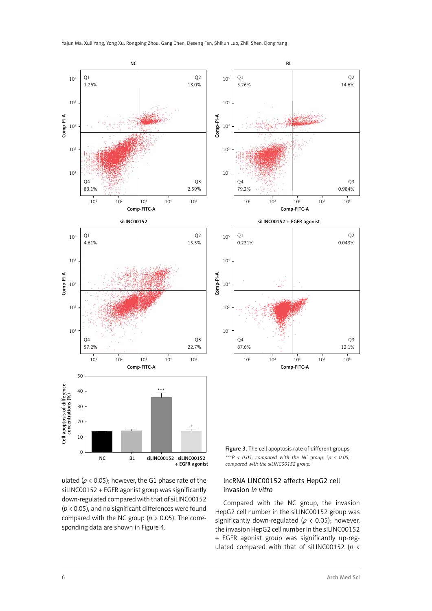

ulated ( $p < 0.05$ ); however, the G1 phase rate of the siLINC00152 + EGFR agonist group was significantly down-regulated compared with that of siLINC00152 (*p* < 0.05), and no significant differences were found compared with the NC group (*p* > 0.05). The corresponding data are shown in Figure 4.

lncRNA LINC00152 affects HepG2 cell

# invasion *in vitro* Compared with the NC group, the invasion

HepG2 cell number in the siLINC00152 group was significantly down-regulated ( $p < 0.05$ ); however, the invasion HepG2 cell number in the siLINC00152 + EGFR agonist group was significantly up-regulated compared with that of siLINC00152 (*p* <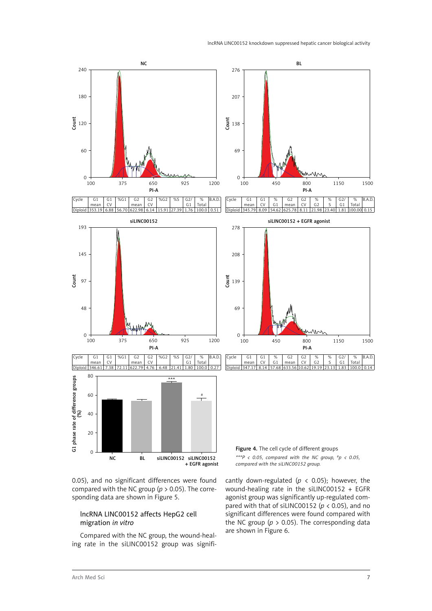

0.05), and no significant differences were found compared with the NC group (*p* > 0.05). The corresponding data are shown in Figure 5.

# lncRNA LINC00152 affects HepG2 cell migration *in vitro*

Compared with the NC group, the wound-healing rate in the siLINC00152 group was signifi*compared with the siLINC00152 group.*

cantly down-regulated ( $p \lt 0.05$ ); however, the wound-healing rate in the siLINC00152 + EGFR agonist group was significantly up-regulated compared with that of siLINC00152 ( $p$  < 0.05), and no significant differences were found compared with the NC group ( $p > 0.05$ ). The corresponding data are shown in Figure 6.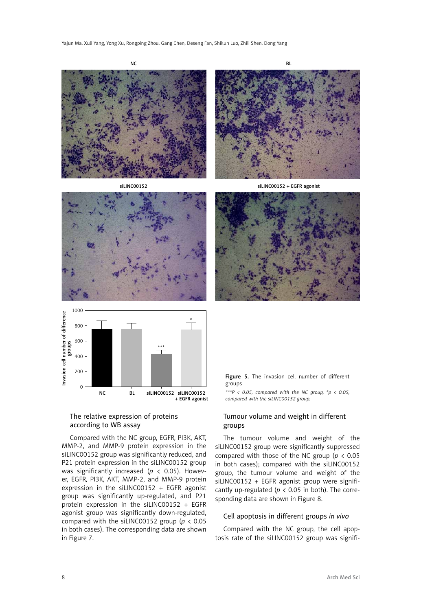









# The relative expression of proteins according to WB assay

Compared with the NC group, EGFR, PI3K, AKT, MMP-2, and MMP-9 protein expression in the siLINC00152 group was significantly reduced, and P21 protein expression in the siLINC00152 group was significantly increased (*p* < 0.05). However, EGFR, PI3K, AKT, MMP-2, and MMP-9 protein expression in the siLINC00152 + EGFR agonist group was significantly up-regulated, and P21 protein expression in the siLINC00152 + EGFR agonist group was significantly down-regulated, compared with the siLINC00152 group (*p* < 0.05 in both cases). The corresponding data are shown in Figure 7.



*\*\*\*P < 0.05, compared with the NC group, #p < 0.05, compared with the siLINC00152 group.*

# Tumour volume and weight in different groups

The tumour volume and weight of the siLINC00152 group were significantly suppressed compared with those of the NC group (*p* < 0.05 in both cases); compared with the siLINC00152 group, the tumour volume and weight of the siLINC00152 + EGFR agonist group were significantly up-regulated ( $p < 0.05$  in both). The corresponding data are shown in Figure 8.

### Cell apoptosis in different groups *in vivo*

Compared with the NC group, the cell apoptosis rate of the siLINC00152 group was signifi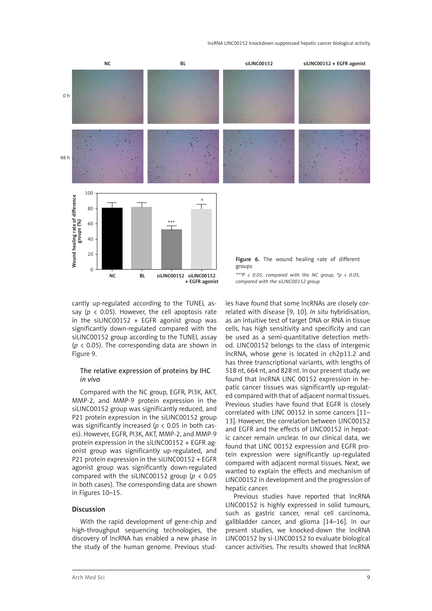lncRNA LINC00152 knockdown suppressed hepatic cancer biological activity



cantly up-regulated according to the TUNEL assay ( $p \lt 0.05$ ). However, the cell apoptosis rate in the siLINC00152 + EGFR agonist group was significantly down-regulated compared with the siLINC00152 group according to the TUNEL assay ( $p$  < 0.05). The corresponding data are shown in Figure 9.

### The relative expression of proteins by IHC *in vivo*

Compared with the NC group, EGFR, PI3K, AKT, MMP-2, and MMP-9 protein expression in the siLINC00152 group was significantly reduced, and P21 protein expression in the siLINC00152 group was significantly increased (*p* < 0.05 in both cases). However, EGFR, PI3K, AKT, MMP-2, and MMP-9 protein expression in the siLINC00152 + EGFR agonist group was significantly up-regulated, and P21 protein expression in the siLINC00152 + EGFR agonist group was significantly down-regulated compared with the siLINC00152 group (*p* < 0.05 in both cases). The corresponding data are shown in Figures 10–15.

#### Discussion

With the rapid development of gene-chip and high-throughput sequencing technologies, the discovery of lncRNA has enabled a new phase in the study of the human genome. Previous stud-

ies have found that some lncRNAs are closely correlated with disease [9, 10]. *In situ* hybridisation, as an intuitive test of target DNA or RNA in tissue cells, has high sensitivity and specificity and can be used as a semi-quantitative detection method. LINC00152 belongs to the class of intergenic lncRNA, whose gene is located in ch2p11.2 and has three transcriptional variants, with lengths of 518 nt, 664 nt, and 828 nt. In our present study, we found that lncRNA LINC 00152 expression in hepatic cancer tissues was significantly up-regulated compared with that of adjacent normal tissues. Previous studies have found that EGFR is closely correlated with LINC 00152 in some cancers [11– 13]. However, the correlation between LINC00152 and EGFR and the effects of LINC00152 in hepatic cancer remain unclear. In our clinical data, we found that LINC 00152 expression and EGFR protein expression were significantly up-regulated compared with adjacent normal tissues. Next, we wanted to explain the effects and mechanism of LINC00152 in development and the progression of hepatic cancer.

Previous studies have reported that lncRNA LINC00152 is highly expressed in solid tumours, such as gastric cancer, renal cell carcinoma, gallbladder cancer, and glioma [14–16]. In our present studies, we knocked-down the lncRNA LINC00152 by si-LINC00152 to evaluate biological cancer activities. The results showed that lncRNA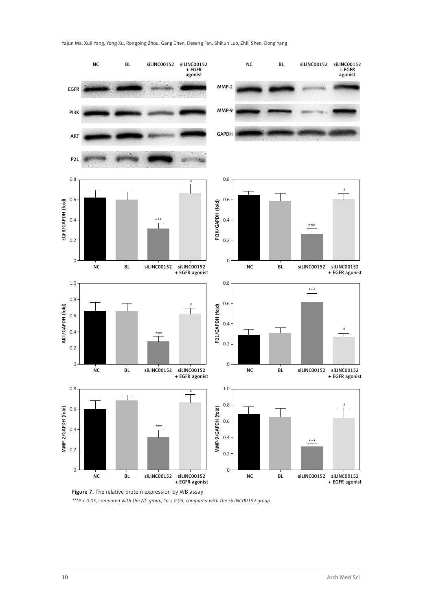

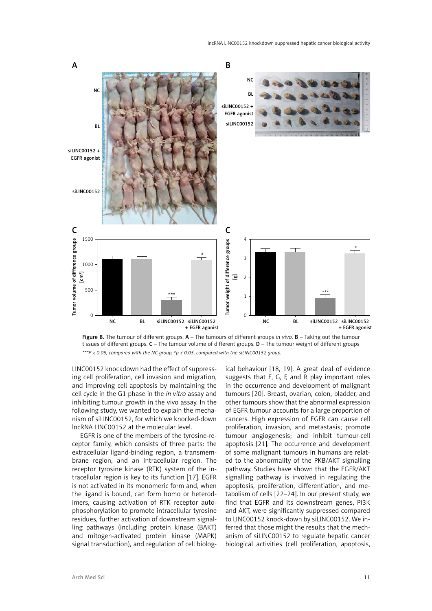



LINC00152 knockdown had the effect of suppressing cell proliferation, cell invasion and migration, and improving cell apoptosis by maintaining the cell cycle in the G1 phase in the *in vitro* assay and inhibiting tumour growth in the vivo assay. In the following study, we wanted to explain the mechanism of siLINC00152, for which we knocked-down lncRNA LINC00152 at the molecular level.

EGFR is one of the members of the tyrosine-receptor family, which consists of three parts: the extracellular ligand-binding region, a transmembrane region, and an intracellular region. The receptor tyrosine kinase (RTK) system of the intracellular region is key to its function [17]. EGFR is not activated in its monomeric form and, when the ligand is bound, can form homo or heterodimers, causing activation of RTK receptor autophosphorylation to promote intracellular tyrosine residues, further activation of downstream signalling pathways (including protein kinase (BAKT) and mitogen-activated protein kinase (MAPK) signal transduction), and regulation of cell biological behaviour [18, 19]. A great deal of evidence suggests that E, G, F, and R play important roles in the occurrence and development of malignant tumours [20]. Breast, ovarian, colon, bladder, and other tumours show that the abnormal expression of EGFR tumour accounts for a large proportion of cancers. High expression of EGFR can cause cell proliferation, invasion, and metastasis; promote tumour angiogenesis; and inhibit tumour-cell apoptosis [21]. The occurrence and development of some malignant tumours in humans are related to the abnormality of the PKB/AKT signalling pathway. Studies have shown that the EGFR/AKT signalling pathway is involved in regulating the apoptosis, proliferation, differentiation, and metabolism of cells [22–24]. In our present study, we find that EGFR and its downstream genes, PI3K and AKT, were significantly suppressed compared to LINC00152 knock-down by siLINC00152. We inferred that those might the results that the mechanism of siLINC00152 to regulate hepatic cancer biological activities (cell proliferation, apoptosis,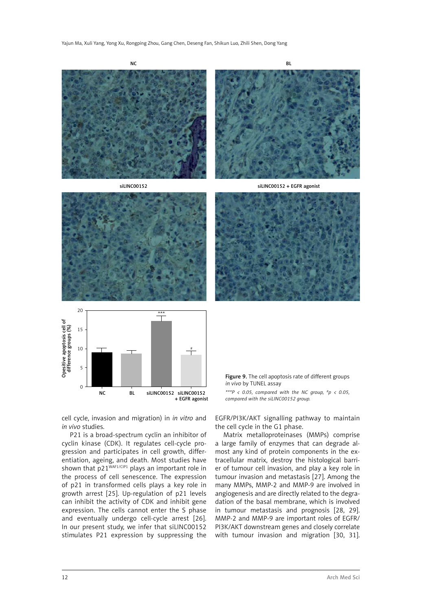

Figure 9. The cell apoptosis rate of different groups *in vivo* by TUNEL assay

*\*\*\*P < 0.05, compared with the NC group, #p < 0.05, compared with the siLINC00152 group.*

cell cycle, invasion and migration) in *in vitro* and *in vivo* studies.

NC BL siLINC00152 siLINC00152

+ EGFR agonist

P21 is a broad-spectrum cyclin an inhibitor of cyclin kinase (CDK). It regulates cell-cycle progression and participates in cell growth, differentiation, ageing, and death. Most studies have shown that  $p21^{WAF1/CIP1}$  plays an important role in the process of cell senescence. The expression of p21 in transformed cells plays a key role in growth arrest [25]. Up-regulation of p21 levels can inhibit the activity of CDK and inhibit gene expression. The cells cannot enter the S phase and eventually undergo cell-cycle arrest [26]. In our present study, we infer that siLINC00152 stimulates P21 expression by suppressing the

EGFR/PI3K/AKT signalling pathway to maintain the cell cycle in the G1 phase.

Matrix metalloproteinases (MMPs) comprise a large family of enzymes that can degrade almost any kind of protein components in the extracellular matrix, destroy the histological barrier of tumour cell invasion, and play a key role in tumour invasion and metastasis [27]. Among the many MMPs, MMP-2 and MMP-9 are involved in angiogenesis and are directly related to the degradation of the basal membrane, which is involved in tumour metastasis and prognosis [28, 29]. MMP-2 and MMP-9 are important roles of EGFR/ PI3K/AKT downstream genes and closely correlate with tumour invasion and migration [30, 31].

 $\Omega$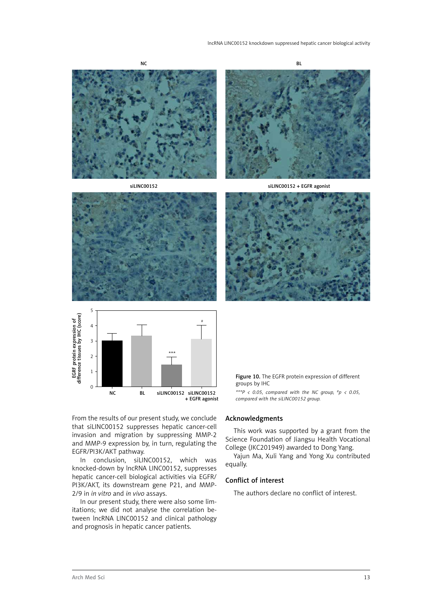







From the results of our present study, we conclude that siLINC00152 suppresses hepatic cancer-cell invasion and migration by suppressing MMP-2 and MMP-9 expression by, in turn, regulating the EGFR/PI3K/AKT pathway.

In conclusion, siLINC00152, which was knocked-down by lncRNA LINC00152, suppresses hepatic cancer-cell biological activities via EGFR/ PI3K/AKT, its downstream gene P21, and MMP-2/9 in *in vitro* and *in vivo* assays.

In our present study, there were also some limitations; we did not analyse the correlation between lncRNA LINC00152 and clinical pathology and prognosis in hepatic cancer patients.

#### Figure 10. The EGFR protein expression of different groups by IHC

*\*\*\*P < 0.05, compared with the NC group, #p < 0.05, compared with the siLINC00152 group.*

### Acknowledgments

This work was supported by a grant from the Science Foundation of Jiangsu Health Vocational College (JKC201949) awarded to Dong Yang.

Yajun Ma, Xuli Yang and Yong Xu contributed equally.

#### Conflict of interest

The authors declare no conflict of interest.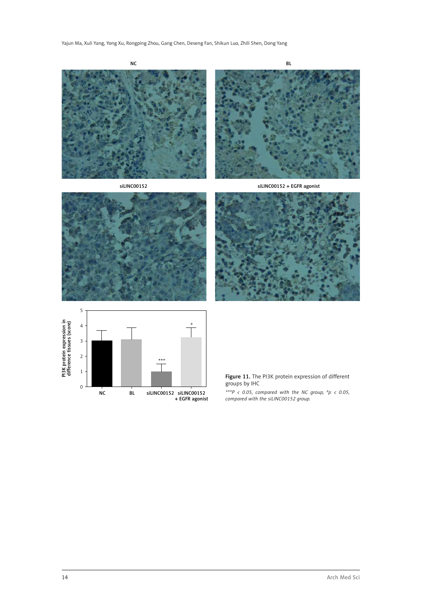







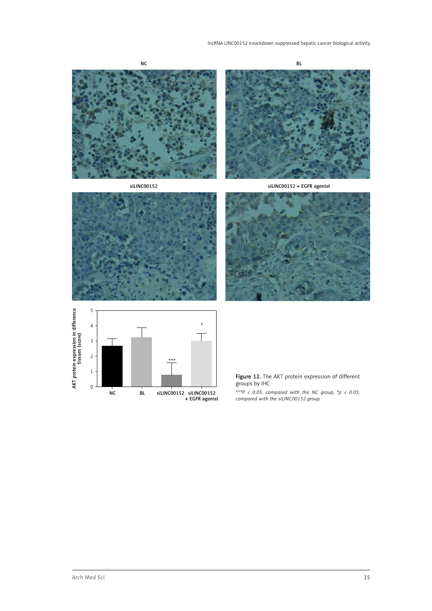









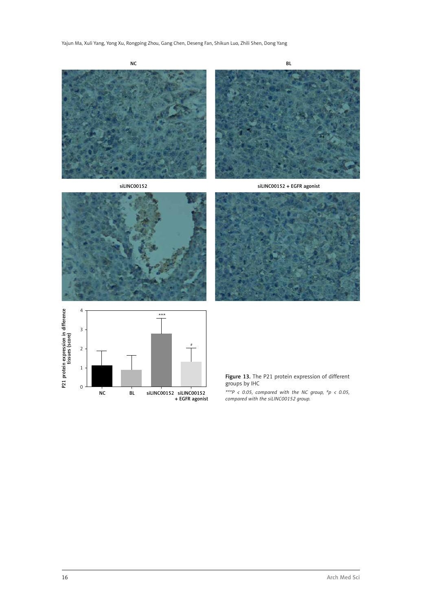







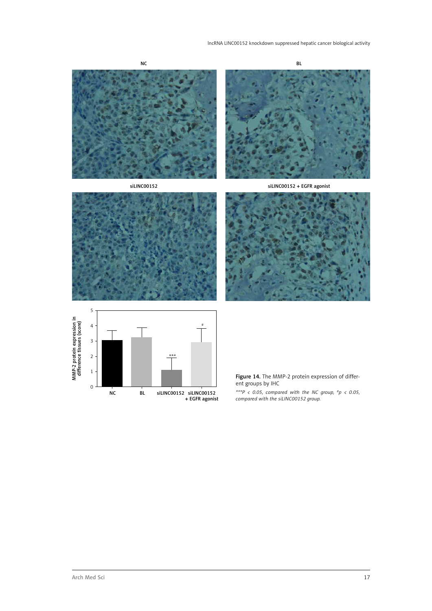









Figure 14. The MMP-2 protein expression of different groups by IHC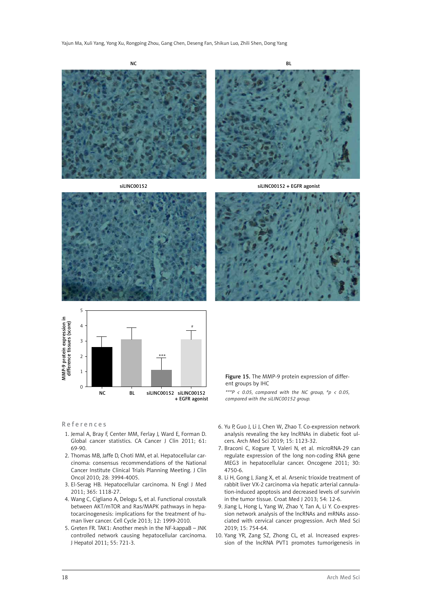NC BLOCK BLOCK IS A RESIDENCE OF THE SECOND BLOCK IS A REPORT OF THE BLOCK BLOCK IS A REPORT OF THE BLOCK IS A REPORT OF THE BLOCK IS A REPORT OF THE BLOCK IS A REPORT OF THE BLOCK IS A REPORT OF THE BLOCK IS A REPORT OF T

siLINC00152 siLINC00152 + EGFR agonist







#### References

- 1. Jemal A, Bray F, Center MM, Ferlay J, Ward E, Forman D. Global cancer statistics. CA Cancer J Clin 2011; 61: 69-90.
- 2. Thomas MB, Jaffe D, Choti MM, et al. Hepatocellular carcinoma: consensus recommendations of the National Cancer Institute Clinical Trials Planning Meeting. J Clin Oncol 2010; 28: 3994-4005.
- 3. El-Serag HB. Hepatocellular carcinoma. N Engl J Med 2011; 365: 1118-27.
- 4. Wang C, Cigliano A, Delogu S, et al. Functional crosstalk between AKT/mTOR and Ras/MAPK pathways in hepatocarcinogenesis: implications for the treatment of human liver cancer. Cell Cycle 2013; 12: 1999-2010.
- 5. Greten FR. TAK1: Another mesh in the NF-kappaB JNK controlled network causing hepatocellular carcinoma. J Hepatol 2011; 55: 721-3.
- Figure 15. The MMP-9 protein expression of different groups by IHC *\*\*\*P < 0.05, compared with the NC group, #p < 0.05,*
- *compared with the siLINC00152 group.*
- 6. Yu P, Guo J, Li J, Chen W, Zhao T. Co-expression network analysis revealing the key lncRNAs in diabetic foot ulcers. Arch Med Sci 2019; 15: 1123-32.
- 7. Braconi C, Kogure T, Valeri N, et al. microRNA-29 can regulate expression of the long non-coding RNA gene MEG3 in hepatocellular cancer. Oncogene 2011; 30: 4750-6.
- 8. Li H, Gong J, Jiang X, et al. Arsenic trioxide treatment of rabbit liver VX-2 carcinoma via hepatic arterial cannulation-induced apoptosis and decreased levels of survivin in the tumor tissue. Croat Med J 2013; 54: 12-6.
- 9. Jiang L, Hong L, Yang W, Zhao Y, Tan A, Li Y. Co-expression network analysis of the lncRNAs and mRNAs associated with cervical cancer progression. Arch Med Sci 2019; 15: 754-64.
- 10. Yang YR, Zang SZ, Zhong CL, et al. Increased expression of the lncRNA PVT1 promotes tumorigenesis in